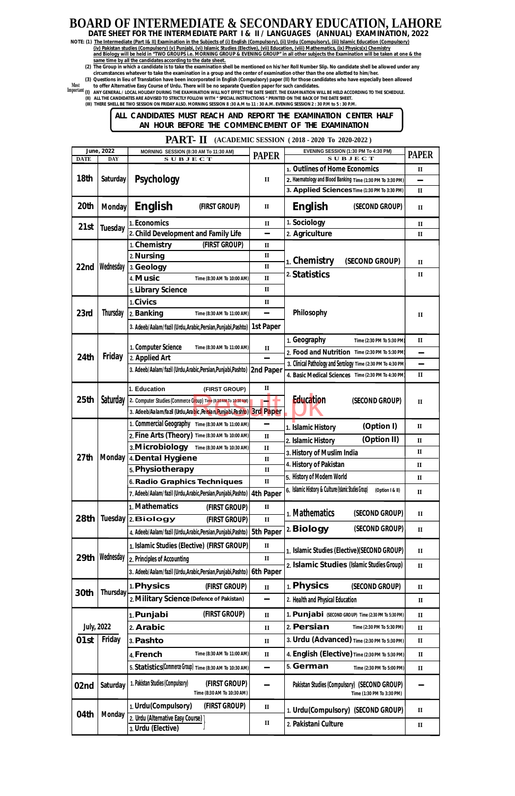| <b>DATE</b>      | June, 2022<br><b>DAY</b> | MORNING SESSION (8:30 AM To 11:30 AM)<br><b>SUBJECT</b>                         | <b>PAPER</b>     | EVENING SESSION (1:30 PM To 4:30 PM)<br>$S$ U B J E C T                   | <b>PAPER</b>           |
|------------------|--------------------------|---------------------------------------------------------------------------------|------------------|---------------------------------------------------------------------------|------------------------|
|                  |                          |                                                                                 |                  | 1. Outlines of Home Economics                                             | $\mathbf{I}$           |
| 18th             | <b>Saturday</b>          | <b>Psychology</b>                                                               | $\mathbf{I}$     | 2. Haematology and Blood Banking Time (1:30 PM To 3:30 PM)                |                        |
|                  |                          |                                                                                 |                  | 3. Applied Sciences Time (1:30 PM To 3:30 PM)                             | $\mathbf{I}$           |
| 20th             | <b>Monday</b>            | <b>English</b><br>(FIRST GROUP)                                                 | $\mathbf{I}$     | <b>English</b><br>(SECOND GROUP)                                          | $\mathbf{I}$           |
| 21st             | <b>Tuesday</b>           | 1. Economics                                                                    | $\mathbf{I}$     | 1. Sociology                                                              | $\mathbf{I}$           |
|                  |                          | 2. Child Development and Family Life                                            | -                | 2. Agriculture                                                            | $\mathbf{I}$           |
|                  |                          | 1. Chemistry<br>(FIRST GROUP)                                                   | $\mathbf{I}$     |                                                                           |                        |
|                  |                          | 2. Nursing                                                                      | $\rm II$         | 1. Chemistry<br>(SECOND GROUP)                                            | $\mathbf{I}$           |
| 22nd             | Wednesday                | 3. Geology                                                                      | $\rm II$         | 2. Statistics                                                             | $\mathbf{I}$           |
|                  |                          | 4. Music<br>Time (8:30 AM To 10:00 AM)                                          | $\mathbf{I}$     |                                                                           |                        |
|                  |                          | 5. Library Science                                                              | $\mathbf{I}$     |                                                                           |                        |
|                  |                          | 1. Civics                                                                       | $\mathbf{I}$     |                                                                           |                        |
| 23rd             | <b>Thursday</b>          | 2. Banking<br>Time (8:30 AM To 11:00 AM)                                        |                  | Philosophy                                                                | $\mathbf{I}$           |
|                  |                          | 3. Adeeb/Aalam/fazil (Urdu, Arabic, Persian, Punjabi, Pashto)                   | 1st Paper        |                                                                           |                        |
|                  |                          |                                                                                 |                  | 1. Geography<br>Time (2:30 PM To 5:30 PM)                                 | $\mathbf{I}\mathbf{I}$ |
| <b>24th</b>      |                          | 1. Computer Science<br>Time (8:30 AM To 11:00 AM)                               | $\mathbf u$      | 2. Food and Nutrition Time (2:30 PM To 5:30 PM)                           | Ξ,                     |
|                  | <b>Friday</b>            | 2. Applied Art                                                                  |                  | 3. Clinical Pathology and Serology Time (2:30 PM To 4:30 PM)              | -                      |
|                  |                          | 3. Adeeb/Aalam/fazil (Urdu, Arabic, Persian, Punjabi, Pashto)   2nd Paper       |                  | 4. Basic Medical Sciences Time (2:30 PM To 4:30 PM)                       | $\rm II$               |
|                  |                          | 1. Education<br>(FIRST GROUP)                                                   | $\mathbf{I}$     |                                                                           |                        |
| 25 <sub>th</sub> | Saturday                 | 2. Computer Studies (Commerce Group) Time (8:30 AM To 10:30 AM)                 |                  | <b>Education</b><br>(SECOND GROUP)                                        | $\mathbf{I}$           |
|                  |                          | 3. Adeeb/Aalam/fazil (Urdu,Arabic,Persian,Punjabi,Pashto)                       | <b>3rd Paper</b> |                                                                           |                        |
|                  |                          | 1. Commercial Geography Time (8:30 AM To 11:00 AM)                              |                  |                                                                           |                        |
|                  |                          | 2. Fine Arts (Theory) Time (8:30 AM To 10:00 AM)                                | $\mathbf{I}$     | (Option I)<br>1. Islamic History                                          | $\mathbf{I}$           |
|                  |                          | 3. Microbiology<br>Time (8:30 AM To 10:30 AM)                                   | $\mathbf{I}$     | (Option II)<br>2. Islamic History                                         | $\mathbf{I}\mathbf{I}$ |
| 27 <sub>th</sub> | <b>Monday</b>            | 4. Dental Hygiene                                                               | $\mathbf{I}$     | 3. History of Muslim India                                                | $\mathbf{I}$           |
|                  |                          | 5. Physiotherapy                                                                | $\rm II$         | 4. History of Pakistan                                                    | $\mathbf{I}$           |
|                  |                          | 6. Radio Graphics Techniques                                                    | $\rm II$         | 5. History of Modern World                                                | $\mathbf{I}$           |
|                  |                          | 7. Adeeb/Aalam/fazil (Urdu, Arabic, Persian, Punjabi, Pashto)                   | <b>4th Paper</b> | 6. Islamic History & Culture (Islamic Studies Group)<br>(Option I & II)   | $\mathbf{I}$           |
|                  |                          | 1. Mathematics<br>(FIRST GROUP)                                                 | $\mathbf{I}$     |                                                                           |                        |
| 28th             | <b>Tuesday</b>           | 2. Biology<br>(FIRST GROUP)                                                     | $\mathbf{I}$     | 1. Mathematics<br>(SECOND GROUP)                                          | $\mathbf{I}$           |
|                  |                          |                                                                                 |                  | 2. Biology<br>(SECOND GROUP)                                              | $\mathbf{I}\mathbf{I}$ |
|                  |                          | 4. Adeeb/Aalam/fazil (Urdu, Arabic, Persian, Punjabi, Pashto)   5th Paper       |                  |                                                                           |                        |
|                  |                          | 1. Islamic Studies (Elective) (FIRST GROUP)                                     | $\mathbf{I}$     | 1. Islamic Studies (Elective)(SECOND GROUP)                               | $\mathbf{I}$           |
| 29th             | Wednesday                | 2. Principles of Accounting                                                     | $\mathbf{I}$     | 2. Islamic Studies (Islamic Studies Group)                                | $\mathbf{I}$           |
|                  |                          | 3. Adeeb/Aalam/fazil (Urdu,Arabic,Persian,Punjabi,Pashto)                       | <b>6th Paper</b> |                                                                           |                        |
|                  |                          | 1. Physics<br>(FIRST GROUP)                                                     | $\mathbf{I}$     | 1. Physics<br>(SECOND GROUP)                                              | $\rm II$               |
| 30th             | <b>Thursday</b>          | 2. Military Science (Defence of Pakistan)                                       |                  | 2. Health and Physical Education                                          | $\mathbf{I}$           |
|                  |                          | (FIRST GROUP)                                                                   |                  |                                                                           |                        |
|                  |                          | 1. Punjabi                                                                      | $\mathbf{I}$     | 1. Punjabi (SECOND GROUP) Time (2:30 PM To 5:30 PM)                       | $\mathbf{I}$           |
|                  | <b>July, 2022</b>        | 2. Arabic                                                                       | $\mathbf{I}$     | 2. Persian<br>Time (2:30 PM To 5:30 PM)                                   | $\mathbf{I}$           |
| 01st             | Friday                   | 3. Pashto                                                                       | $\mathbf{I}$     | 3. Urdu (Advanced) Time (2:30 PM To 5:30 PM)                              | $\rm II$               |
|                  |                          | 4. French<br>Time (8:30 AM To 11:00 AM)                                         | $\rm II$         | 4. English (Elective) Time (2:30 PM To 5:30 PM)                           | $\mathbf{I}$           |
|                  |                          | 5. Statistics(Commerce Group) Time (8:30 AM To 10:30 AM)                        |                  | 5. German<br>Time (2:30 PM To 5:00 PM)                                    | $\mathbf{I}$           |
| 02nd             | <b>Saturday</b>          | 1. Pakistan Studies (Compulsory)<br>(FIRST GROUP)<br>Time (8:30 AM To 10:30 AM) |                  | Pakistan Studies (Compulsory) (SECOND GROUP)<br>Time (1:30 PM To 3:30 PM) |                        |
|                  |                          | 1. Urdu(Compulsory)<br>(FIRST GROUP)                                            | $\mathbf{I}$     | 1. Urdu(Compulsory) (SECOND GROUP)                                        | $\mathbf{I}$           |
| 04th             | <b>Monday</b>            | 2. Urdu (Alternative Easy Course)                                               | $\mathbf{I}$     |                                                                           |                        |
|                  |                          | 3. Urdu (Elective)                                                              |                  | 2. Pakistani Culture                                                      | $\mathbf{I}\mathbf{I}$ |

## **BOARD OF INTERMEDIATE & SECONDARY EDUCATION, LAHORE**

**DATE SHEET FOR THE INTERMEDIATE PART I & II / LANGUAGES (ANNUAL) EXAMINATION, 2022**

- **NOTE: (1) The Intermediate (Part I& II) Examination in the Subjects of (i) English (Compulsory), (ii) Urdu (Compulsory), (iii) Islamic Education (Compulsory) and Biology will be held in "TWO GROUPS i.e. MORNING GROUP & EVENING GROUP" in all other subjects the Examination will be taken at one & the same time by all the candidates according to the date sheet. (iv) Pakistan studies (Compulsory) (v) Punjabi, (vi) Islamic Studies (Elective), (vii) Education, (viii) Mathematics, (ix) Physics(x) Chemistry**
	- **(2) The Group in which a candidate is to take the examination shell be mentioned on his/her Roll Number Slip. No candidate shell be allowed under any circumstances whatever to take the examination in a group and the center of examination other than the one allotted to him/her.**

**(3) Questions in lieu of Translation have been incorporated in English (Compulsory) paper (II) for those candidates who have especially been allowed to offer Alternative Easy Course of Urdu. There will be no separate Question paper for such candidates. Most**

**(I) ANY GENERAL / LOCAL HOLIDAY DURING THE EXAMINATION WILL NOT EFFECT THE DATE SHEET. THE EXAMINATION WILL BE HELD ACCORDING TO THE SCHEDULE. Important (II) ALL THE CANDIDATES ARE ADVISED TO STRICTLY FOLLOW WITH " SPECIAL INSTRUCTIONS " PRINTED ON THE BACK OF THE DATE SHEET.**

**(III) THERE SHELL BE TWO SESSION ON FRIDAY ALSO. MORNING SESSION 8 :30 A.M to 11 : 30 A.M. EVENING SESSION 2 : 30 P.M to 5 : 30 P.M.**

**ALL CANDIDATES MUST REACH AND REPORT THE EXAMINATION CENTER HALF AN HOUR BEFORE THE COMMENCEMENT OF THE EXAMINATION**

**PART- II** (ACADEMIC SESSION (2018 - 2020 To 2020-2022)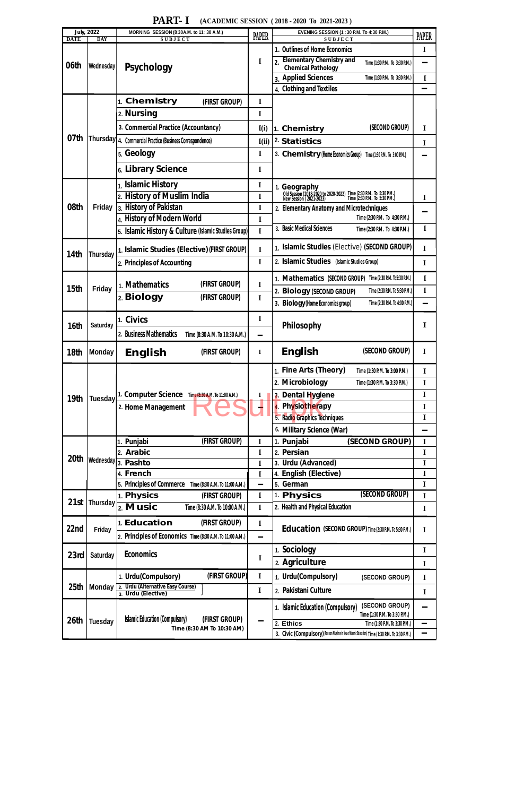|                  | <b>July, 2022</b> | MORNING SESSION (8:30A.M. to 11:30 A.M.)                    | <b>PAPER</b>   | <b>EVENING SESSION (1:30 P.M. To 4:30 P.M.)</b>                                                                                                    |              |
|------------------|-------------------|-------------------------------------------------------------|----------------|----------------------------------------------------------------------------------------------------------------------------------------------------|--------------|
| <b>DATE</b>      | <b>DAY</b>        | <b>SUBJECT</b>                                              | <b>SUBJECT</b> |                                                                                                                                                    | <b>PAPER</b> |
|                  |                   | <b>Psychology</b>                                           |                | 1. Outlines of Home Economics                                                                                                                      | I            |
| 06th             | Wednesday         |                                                             | I              | <b>Elementary Chemistry and</b><br>$\overline{2}$<br>Time (1:30 P.M. To 3:30 P.M.)<br><b>Chemical Pathology</b>                                    |              |
|                  |                   |                                                             |                | 3. Applied Sciences<br>Time (1:30 P.M. To 3:30 P.M.)                                                                                               | I            |
|                  |                   |                                                             |                | 4. Clothing and Textiles                                                                                                                           | $\equiv$     |
|                  |                   | 1. Chemistry<br>(FIRST GROUP)                               | I              |                                                                                                                                                    |              |
|                  |                   | 2. Nursing                                                  | I              |                                                                                                                                                    |              |
|                  |                   | 3. Commercial Practice (Accountancy)                        | I(i)           | (SECOND GROUP)<br>1. Chemistry                                                                                                                     | I            |
| 07th             |                   | Thursday   4. Commercial Practice (Business Correspondence) | I(i)           | 2. Statistics                                                                                                                                      | I            |
|                  |                   | 5. Geology                                                  | $\mathbf I$    | 3. Chemistry (Home Economics Group) Time (1:30 P.M. To 3:00 P.M.)                                                                                  |              |
|                  |                   | 6. Library Science                                          | I              |                                                                                                                                                    |              |
|                  |                   | 1. Islamic History                                          | I              |                                                                                                                                                    |              |
|                  |                   | 2. History of Muslim India                                  | I              | 1. <b>Geography</b><br>Old Session (2018-2020 to 2020-2022) Time (2:30 P.M. To 5:30 P.M.)<br>New Session (2021-2023) Time (2:30 P.M. To 5:30 P.M.) | I            |
| 08th             | Friday            | 3. History of Pakistan                                      | I              | 2. Elementary Anatomy and Microtechniques                                                                                                          |              |
|                  |                   | 4. History of Modern World                                  | I              | Time (2:30 P.M. To 4:30 P.M.)                                                                                                                      |              |
|                  |                   | 5. Islamic History & Culture (Islamic Studies Group)        | I              | 3. Basic Medical Sciences<br>Time (2:30 P.M. To 4:30 P.M.)                                                                                         | I            |
|                  |                   | 1. Islamic Studies (Elective) (FIRST GROUP)                 | $\mathbf I$    | 1. Islamic Studies (Elective) (SECOND GROUP)                                                                                                       | I            |
| 14th             | <b>Thursday</b>   | 2. Principles of Accounting                                 | I              | 2. Islamic Studies (Islamic Studies Group)                                                                                                         | I            |
|                  |                   |                                                             |                | 1. Mathematics (SECOND GROUP) Time (2:30 P.M. To5:30 P.M.)                                                                                         | I            |
| 15th             | <b>Friday</b>     | 1. Mathematics<br>(FIRST GROUP)                             | I              | 2. Biology (SECOND GROUP)<br>Time (2:30 P.M. To 5:30 P.M.)                                                                                         | I            |
|                  |                   | 2. Biology<br>(FIRST GROUP)                                 | I              | 3. Biology (Home Economics group)<br>Time (2:30 P.M. To 4:00 P.M.)                                                                                 |              |
|                  |                   | 1. Civics                                                   | $\mathbf I$    |                                                                                                                                                    |              |
| 16th             | <b>Saturday</b>   |                                                             |                | Philosophy                                                                                                                                         | I            |
|                  |                   | 2. Business Mathematics<br>Time (8:30 A.M. To 10:30 A.M.)   | -              |                                                                                                                                                    |              |
| 18th             | <b>Monday</b>     | <b>English</b><br>(FIRST GROUP)                             | I              | <b>English</b><br>(SECOND GROUP)                                                                                                                   | I            |
|                  |                   |                                                             |                | 1. Fine Arts (Theory)<br>Time (1:30 P.M. To 3:00 P.M.)                                                                                             | $\mathbf I$  |
|                  | <b>Tuesday</b>    |                                                             | I              | 2. Microbiology<br>Time (1:30 P.M. To 3:30 P.M.)                                                                                                   | $\mathbf I$  |
| 19th             |                   | 1. Computer Science Time (8:30 A.M. To 11:00 A.M.)          |                | 3. Dental Hygiene                                                                                                                                  | I            |
|                  |                   | 2. Home Management                                          |                | 4. Physiotherapy                                                                                                                                   | I            |
|                  |                   |                                                             |                | 5. Radio Graphics Techniques                                                                                                                       | I            |
|                  |                   |                                                             |                | 6. Military Science (War)                                                                                                                          | $\sim$       |
|                  |                   | (FIRST GROUP)<br>1. Punjabi                                 | I              | 1. Punjabi<br>(SECOND GROUP)                                                                                                                       | I            |
|                  |                   | 2. Arabic                                                   | $\mathbf I$    | 2. Persian                                                                                                                                         | I            |
| 20 <sup>th</sup> |                   | Wednesday 3. Pashto                                         | I              | 3. Urdu (Advanced)                                                                                                                                 | I            |
|                  |                   | 4. French                                                   | I              | 4. English (Elective)                                                                                                                              | I            |
|                  |                   | 5. Principles of Commerce<br>Time (8:30 A.M. To 11:00 A.M.) | -              | 5. German                                                                                                                                          | I            |
|                  |                   | 1. Physics<br>(FIRST GROUP)                                 | I              | (SECOND GROUP)<br>1. Physics                                                                                                                       | I            |
| 21st             | <b>Thursday</b>   | 2. Music<br>Time (8:30 A.M. To 10:00 A.M.)                  | $\mathbf I$    | 2. Health and Physical Education                                                                                                                   | I            |
| 22nd             | Friday            | 1. Education<br>(FIRST GROUP)                               | I              | <b>Education (SECOND GROUP) Time (2:30 P.M. To 5:30 P.M.)</b>                                                                                      | I            |
|                  |                   | 2. Principles of Economics Time (8:30 A.M. To 11:00 A.M.)   | -              |                                                                                                                                                    |              |
| 23rd             | <b>Saturday</b>   | <b>Economics</b>                                            |                | 1. Sociology                                                                                                                                       | I            |
|                  |                   |                                                             | I              | 2. Agriculture                                                                                                                                     | I            |
|                  |                   | (FIRST GROUP)<br>1. Urdu(Compulsory)                        | I              | 1. Urdu(Compulsory)<br>(SECOND GROUP)                                                                                                              | I            |

**PART- I (ACADEMIC SESSION (2018 - 2020 To 2021-2023)** 

| 25th | Monday         | 2. Urdu (Alternative Easy Course)<br>3. Urdu (Elective)                              |        | 2. Pakistani Culture                                                                               |        |
|------|----------------|--------------------------------------------------------------------------------------|--------|----------------------------------------------------------------------------------------------------|--------|
| 26th | <b>Tuesday</b> | <b>Islamic Education (Compulsory)</b><br>(FIRST GROUP)<br>Time (8:30 AM To 10:30 AM) |        | (SECOND GROUP)<br>1. Islamic Education (Compulsory)<br>Time (1:30 P.M. To 3:30 P.M.)               | m.     |
|      |                |                                                                                      | $\sim$ | 2. Ethics<br>Time (1:30 P.M. To 3:30 P.M.)                                                         | $\sim$ |
|      |                |                                                                                      |        | 3. Civic (Compulsory) (For non Muslims in lieu of Islamic Education) Time (1:30 P.M. To 3:30 P.M.) | $\sim$ |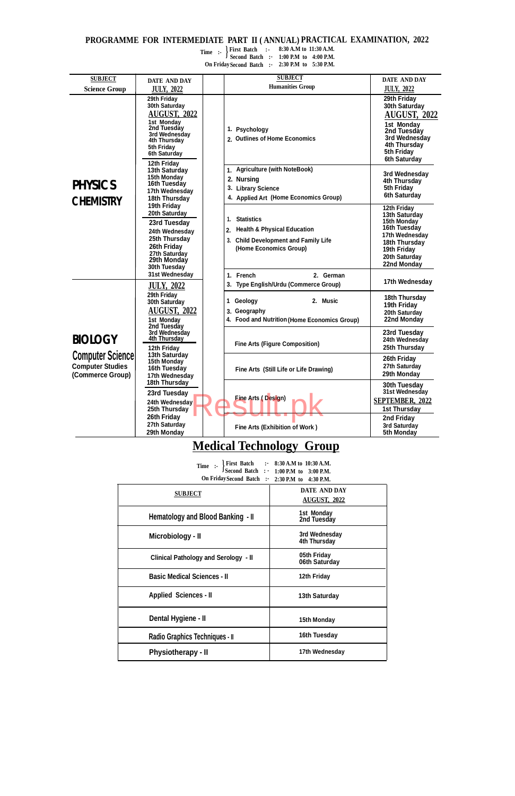## **PROGRAMME FOR INTERMEDIATE PART II ( ANNUAL) PRACTICAL EXAMINATION, 2022**

Time :-  $\left\{\begin{array}{ll}\n\text{First Bactn} \\
\text{Second Batch} \\
\text{if}\n\end{array}\right\}$ **On FridaySecond Batch :- 1:00 P.M to 4:00 P.M. 2:30 P.M to 5:30 P.M.**

**First Batch :- 8:30 A.M to 11:30 A.M.**

## **Medical Technology Group**

| Time :-                                        | First Batch :- 8:30 A.M to 10:30 A.M.<br>Second Batch :- 1:00 P.M to 3:00 P.M. |
|------------------------------------------------|--------------------------------------------------------------------------------|
| On Friday Second Batch : 2:30 P.M to 4:30 P.M. |                                                                                |
| <b>SUBJECT</b>                                 | DATE AND DAY<br><b>AUGUST, 2022</b>                                            |
| Hematology and Blood Banking - II              | 1st Monday<br>2nd Tuesday                                                      |
| Microbiology - II                              | 3rd Wednesday<br>4th Thursday                                                  |
| <b>Clinical Pathology and Serology - II</b>    | 05th Friday<br>06th Saturday                                                   |
| <b>Basic Medical Sciences - II</b>             | 12th Friday                                                                    |
| <b>Applied Sciences - II</b>                   | 13th Saturday                                                                  |
| Dental Hygiene - II                            | 15th Monday                                                                    |
| Radio Graphics Techniques - II                 | 16th Tuesday                                                                   |
| <b>Physiotherapy - II</b>                      | 17th Wednesday                                                                 |

| <b>SUBJECT</b>                                                         | DATE AND DAY                                                                                                                                            | <b>SUBJECT</b>                                                                                                                                      | <b>DATE AND DAY</b>                                                                                                                                    |
|------------------------------------------------------------------------|---------------------------------------------------------------------------------------------------------------------------------------------------------|-----------------------------------------------------------------------------------------------------------------------------------------------------|--------------------------------------------------------------------------------------------------------------------------------------------------------|
| <b>Science Group</b>                                                   | <b>JULY, 2022</b>                                                                                                                                       | <b>Humanities Group</b>                                                                                                                             | <b>JULY, 2022</b>                                                                                                                                      |
|                                                                        | 29th Friday<br>30th Saturday<br>AUGUST, 2022<br>1st Monday<br>2nd Tuesday<br>3rd Wednesday<br>4th Thursday<br>5th Friday<br>6th Saturday<br>12th Friday | 1. Psychology<br>2. Outlines of Home Economics                                                                                                      | 29th Friday<br>30th Saturday<br><b>AUGUST, 2022</b><br>1st Monday<br>2nd Tuesday<br>3rd Wednesday<br>4th Thursday<br>5th Friday<br><b>6th Saturday</b> |
| <b>PHYSICS</b><br><b>CHEMISTRY</b>                                     | 13th Saturday<br>15th Monday<br>16th Tuesday<br>17th Wednesday<br>18th Thursday                                                                         | 1. Agriculture (with NoteBook)<br>2. Nursing<br>3. Library Science<br>4. Applied Art (Home Economics Group)                                         | 3rd Wednesday<br>4th Thursday<br>5th Friday<br>6th Saturday                                                                                            |
|                                                                        | 19th Friday<br>20th Saturday<br>23rd Tuesday<br>24th Wednesday<br>25th Thursday<br>26th Friday<br>27th Saturday<br>29th Monday<br>30th Tuesday          | <b>Statistics</b><br>1.<br><b>Health &amp; Physical Education</b><br>2.<br><b>Child Development and Family Life</b><br>3.<br>(Home Economics Group) | 12th Friday<br>13th Saturday<br>15th Monday<br>16th Tuesday<br>17th Wednesday<br>18th Thursday<br>19th Friday<br>20th Saturday<br>22nd Monday          |
|                                                                        | 31st Wednesday<br><b>JULY, 2022</b>                                                                                                                     | 1. French<br>2. German<br>3. Type English/Urdu (Commerce Group)                                                                                     | 17th Wednesday                                                                                                                                         |
|                                                                        | 29th Friday<br>30th Saturday<br><b>AUGUST, 2022</b><br>1st Monday                                                                                       | 2. Music<br>1 Geology<br>3. Geography<br>4. Food and Nutrition (Home Economics Group)                                                               | 18th Thursday<br>19th Friday<br>20th Saturday<br>22nd Monday                                                                                           |
| <b>BIOLOGY</b>                                                         | 2nd Tuesday<br>3rd Wednesday<br>4th Thursday<br>12th Friday                                                                                             | <b>Fine Arts (Figure Composition)</b>                                                                                                               | 23rd Tuesday<br>24th Wednesday<br>25th Thursday                                                                                                        |
| <b>Computer Science</b><br><b>Computer Studies</b><br>(Commerce Group) | 13th Saturday<br>15th Monday<br>16th Tuesday<br>17th Wednesday                                                                                          | Fine Arts (Still Life or Life Drawing)                                                                                                              | 26th Friday<br>27th Saturday<br>29th Monday                                                                                                            |
|                                                                        | 18th Thursday<br>23rd Tuesday<br>24th Wednesday<br>25th Thursday<br>26th Friday<br>27th Saturday<br>29th Monday                                         | <b>Fine Arts (Design)</b><br>Fine Arts (Exhibition of Work)                                                                                         | 30th Tuesday<br>31st Wednesday<br><b>SEPTEMBER, 2022</b><br><b>1st Thursday</b><br>2nd Friday<br>3rd Saturday<br>5th Monday                            |